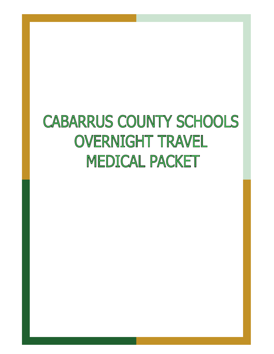# **CABARRUS COUNTY SCHOOLS OVERNIGHT TRAVEL MEDICAL PACKET**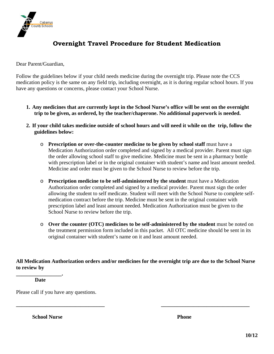

## **Overnight Travel Procedure for Student Medication**

Dear Parent/Guardian,

Follow the guidelines below if your child needs medicine during the overnight trip. Please note the CCS medication policy is the same on any field trip, including overnight, as it is during regular school hours. If you have any questions or concerns, please contact your School Nurse.

- **1. Any medicines that are currently kept in the School Nurse's office will be sent on the overnight trip to be given, as ordered, by the teacher/chaperone. No additional paperwork is needed.**
- **2. If your child takes medicine outside of school hours and will need it while on the trip, follow the guidelines below:** 
	- o **Prescription or over-the-counter medicine to be given by school staff** must have a Medication Authorization order completed and signed by a medical provider. Parent must sign the order allowing school staff to give medicine. Medicine must be sent in a pharmacy bottle with prescription label or in the original container with student's name and least amount needed. Medicine and order must be given to the School Nurse to review before the trip.
	- o **Prescription medicine to be self-administered by the student** must have a Medication Authorization order completed and signed by a medical provider. Parent must sign the order allowing the student to self medicate. Student will meet with the School Nurse to complete selfmedication contract before the trip. Medicine must be sent in the original container with prescription label and least amount needed. Medication Authorization must be given to the School Nurse to review before the trip.
	- o **Over the counter (OTC) medicines to be self-administered by the student** must be noted on the treatment permission form included in this packet. All OTC medicine should be sent in its original container with student's name on it and least amount needed.

**All Medication Authorization orders and/or medicines for the overnight trip are due to the School Nurse to review by** 

**\_\_\_\_\_\_\_\_\_\_\_\_\_\_\_\_\_\_\_\_\_\_\_\_\_\_\_\_\_\_\_\_\_ \_\_\_\_\_\_\_\_\_\_\_\_\_\_\_\_\_\_\_\_\_\_\_\_\_\_\_\_\_\_\_\_\_** 

**\_\_\_\_\_\_\_\_\_\_\_\_\_\_\_\_\_. Date** 

Please call if you have any questions.

**School Nurse Phone**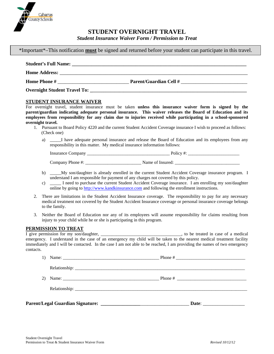

## **STUDENT OVERNIGHT TRAVEL**

#### \*Important\*–This notification **must** be signed and returned before your student can participate in this travel.

| <b>Student's Full Name:</b> |                               |
|-----------------------------|-------------------------------|
|                             |                               |
| <b>Home Phone #</b>         | <b>Parent/Guardian Cell #</b> |
|                             |                               |

## **STUDENT INSURANCE WAIVER**

For overnight travel, student insurance must be taken **unless this insurance waiver form is signed by the parent/guardian indicating adequate personal insurance. This waiver releases the Board of Education and its employees from responsibility for any claim due to injuries received while participating in a school-sponsored overnight travel.** 

- 1. Pursuant to Board Policy 4220 and the current Student Accident Coverage insurance I wish to proceed as follows: (Check one)
	- a) \_\_\_\_\_I have adequate personal insurance and release the Board of Education and its employees from any responsibility in this matter. My medical insurance information follows:

Insurance Company **and Policy 4:**  $\frac{1}{2}$  Policy #:

Company Phone #:  $\blacksquare$  Name of Insured:

- b) \_\_\_\_\_My son/daughter is already enrolled in the current Student Accident Coverage insurance program. I understand I am responsible for payment of any charges not covered by this policy.
- c) \_\_\_\_\_ I need to purchase the current Student Accident Coverage insurance. I am enrolling my son/daughter online by going to http://www.kandkinsurance.com and following the enrollment instructions.
- 2. There are limitations in the Student Accident Insurance coverage. The responsibility to pay for any necessary medical treatment not covered by the Student Accident Insurance coverage or personal insurance coverage belongs to the family.
- 3. Neither the Board of Education nor any of its employees will assume responsibility for claims resulting from injury to your child while he or she is participating in this program.

### **PERMISSION TO TREAT**

I give permission for my son/daughter, \_\_\_\_\_\_\_\_\_\_\_\_\_\_\_\_\_\_\_\_\_\_\_\_\_\_\_\_\_\_\_\_\_\_\_\_, to be treated in case of a medical emergency. I understand in the case of an emergency my child will be taken to the nearest medical treatment facility immediately and I will be contacted. In the case I am not able to be reached, I am providing the names of two emergency contacts.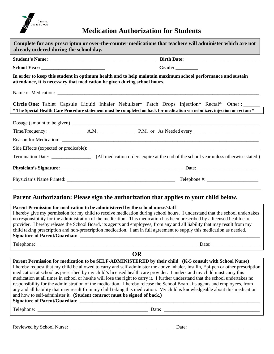

**Medication Authorization for Students**

|                                                                           | Grade: $\_\_$                                                                                                               |
|---------------------------------------------------------------------------|-----------------------------------------------------------------------------------------------------------------------------|
| attendance, it is necessary that medication be given during school hours. | In order to keep this student in optimum health and to help maintain maximum school performance and sustain                 |
|                                                                           |                                                                                                                             |
|                                                                           | Circle One: Tablet Capsule Liquid Inhaler Nebulizer* Patch Drops Injection* Rectal* Other:                                  |
|                                                                           | * The Special Health Care Procedure statement must be completed on back for medication via nebulizer, injection or rectum * |
|                                                                           |                                                                                                                             |
|                                                                           |                                                                                                                             |
|                                                                           |                                                                                                                             |
|                                                                           |                                                                                                                             |
|                                                                           |                                                                                                                             |
|                                                                           |                                                                                                                             |
|                                                                           |                                                                                                                             |

## **Parent Authorization: Please sign the authorization that applies to your child below.**

| Parent Permission for medication to be administered by the school nurse/staff                                                    |  |  |  |  |  |
|----------------------------------------------------------------------------------------------------------------------------------|--|--|--|--|--|
| I hereby give my permission for my child to receive medication during school hours. I understand that the school undertakes      |  |  |  |  |  |
| no responsibility for the administration of the medication. This medication has been prescribed by a licensed health care        |  |  |  |  |  |
| provider. I hereby release the School Board, its agents and employees, from any and all liability that may result from my        |  |  |  |  |  |
| child taking prescription and non-prescription medication. I am in full agreement to supply this medication as needed.           |  |  |  |  |  |
|                                                                                                                                  |  |  |  |  |  |
|                                                                                                                                  |  |  |  |  |  |
| <b>OR</b>                                                                                                                        |  |  |  |  |  |
| Parent Permission for medication to be SELF-ADMINISTERED by their child (K-5 consult with School Nurse)                          |  |  |  |  |  |
| I hereby request that my child be allowed to carry and self-administer the above inhaler, insulin, Epi-pen or other prescription |  |  |  |  |  |
| medication at school as prescribed by my child's licensed health care provider. I understand my child must carry this            |  |  |  |  |  |
| medication at all times in school or he/she will lose the right to carry it. I further understand that the school undertakes no  |  |  |  |  |  |
| responsibility for the administration of the medication. I hereby release the School Board, its agents and employees, from       |  |  |  |  |  |
| any and all liability that may result from my child taking this medication. My child is knowledgeable about this medication      |  |  |  |  |  |
| and how to self-administer it. (Student contract must be signed of back.)                                                        |  |  |  |  |  |
|                                                                                                                                  |  |  |  |  |  |
|                                                                                                                                  |  |  |  |  |  |

Reviewed by School Nurse: \_\_\_\_\_\_\_\_\_\_\_\_\_\_\_\_\_\_\_\_\_\_\_\_\_\_\_\_\_\_\_\_\_\_\_\_\_\_\_\_\_\_ Date: \_\_\_\_\_\_\_\_\_\_\_\_\_\_\_\_\_\_\_\_\_\_\_\_\_\_\_\_\_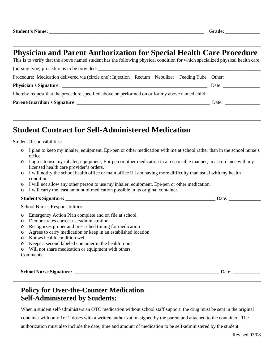# **Physician and Parent Authorization for Special Health Care Procedure**

This is to verify that the above named student has the following physical condition for which specialized physical health care  $(nursing type)$  procedure is to be provided:  $\frac{1}{n}$ Procedure: Medication delivered via (circle one): Injection Rectum Nebulizer Feeding Tube Other: **Physician's Signature**: \_\_\_\_\_\_\_\_\_\_\_\_\_\_\_\_\_\_\_\_\_\_\_\_\_\_\_\_\_\_\_\_\_\_\_\_\_\_\_\_\_\_\_\_\_\_\_\_\_\_\_\_\_\_\_\_\_\_\_ Date: \_\_\_\_\_\_\_\_\_\_\_\_\_\_\_ I hereby request that the procedure specified above be performed on or for my above named child. **Parent/Guardian's Signature**: \_\_\_\_\_\_\_\_\_\_\_\_\_\_\_\_\_\_\_\_\_\_\_\_\_\_\_\_\_\_\_\_\_\_\_\_\_\_\_\_\_\_\_\_\_\_\_\_\_\_\_\_\_\_ Date: \_\_\_\_\_\_\_\_\_\_\_\_\_\_

# **Student Contract for Self-Administered Medication**

Student Responsibilities:

- o I plan to keep my inhaler, equipment, Epi-pen or other medication with me at school rather than in the school nurse's office.
- o I agree to use my inhaler, equipment, Epi-pen or other medication in a responsible manner, in accordance with my licensed health care provider's orders.
- $\circ$  I will notify the school health office or main office if I am having more difficulty than usual with my health condition.
- o I will not allow any other person to use my inhaler, equipment, Epi-pen or other medication.
- o I will carry the least amount of medication possible in its original container.

### **Student's Signature:** \_\_\_\_\_\_\_\_\_\_\_\_\_\_\_\_\_\_\_\_\_\_\_\_\_\_\_\_\_\_\_\_\_\_\_\_\_\_\_\_\_\_\_\_\_\_\_\_\_\_\_\_\_\_\_\_\_\_\_\_\_ Date: \_\_\_\_\_\_\_\_\_\_\_\_\_

School Nurses Responsibilities:

- o Emergency Action Plan complete and on file at school
- o Demonstrates correct use/administration
- o Recognizes proper and prescribed timing for medication
- o Agrees to carry medication or keep in an established location
- o Knows health condition well
- o Keeps a second labeled container in the health room
- o Will not share medication or equipment with others.

Comments:

**School Nurse Signature:** \_\_\_\_\_\_\_\_\_\_\_\_\_\_\_\_\_\_\_\_\_\_\_\_\_\_\_\_\_\_\_\_\_\_\_\_\_\_\_\_\_\_\_\_\_\_\_\_\_\_\_\_\_\_\_\_\_\_\_ Date: \_\_\_\_\_\_\_\_\_\_\_

## **Policy for Over-the-Counter Medication Self-Administered by Students:**

When a student self-administers an OTC medication without school staff support, the drug must be sent in the original container with only 1or 2 doses with a written authorization signed by the parent and attached to the container. The authorization must also include the date, time and amount of medication to be self-administered by the student.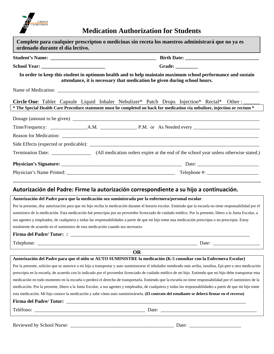

# **Medication Authorization for Students**

| ordenado durante el día lectivo.                                                                 | Complete para cualquier prescripton o medicinas sin receta los maestros administrará que no ya es                                                                                                                                    |
|--------------------------------------------------------------------------------------------------|--------------------------------------------------------------------------------------------------------------------------------------------------------------------------------------------------------------------------------------|
|                                                                                                  |                                                                                                                                                                                                                                      |
|                                                                                                  | Grade: __________                                                                                                                                                                                                                    |
|                                                                                                  | In order to keep this student in optimum health and to help maintain maximum school performance and sustain<br>attendance, it is necessary that medication be given during school hours.                                             |
|                                                                                                  |                                                                                                                                                                                                                                      |
|                                                                                                  | Circle One: Tablet Capsule Liquid Inhaler Nebulizer* Patch Drops Injection* Rectal*<br>Other : $\_\_$<br>* The Special Health Care Procedure statement must be completed on back for medication via nebulizer, injection or rectum * |
|                                                                                                  |                                                                                                                                                                                                                                      |
|                                                                                                  |                                                                                                                                                                                                                                      |
|                                                                                                  |                                                                                                                                                                                                                                      |
|                                                                                                  |                                                                                                                                                                                                                                      |
|                                                                                                  |                                                                                                                                                                                                                                      |
|                                                                                                  |                                                                                                                                                                                                                                      |
|                                                                                                  |                                                                                                                                                                                                                                      |
|                                                                                                  | Autorización del Padre: Firme la autorización correspondiente a su hijo a continuación.                                                                                                                                              |
| Autorización del Padre para que la medicación sea suministrada por la enfermera/personal escolar |                                                                                                                                                                                                                                      |
|                                                                                                  | Por la presente, doy autorización para que mi hijo reciba la medicación durante el horario escolar. Entiendo que la escuela no tiene responsabilidad por el                                                                          |
|                                                                                                  | suministro de la medicación. Esta medicación fue prescripta por un proveedor licenciado de cuidado médico. Por la presente, libero a la Junta Escolar, a                                                                             |
|                                                                                                  | sus agentes y empleados, de cualquiera y todas las responsabilidades a partir de que mi hijo tome una medicación prescripta o no prescripta. Estoy                                                                                   |
| totalmente de acuerdo en el suministro de esta medicación cuando sea necesario.                  |                                                                                                                                                                                                                                      |
| <b>Firma del Padre/Tutor: :</b>                                                                  |                                                                                                                                                                                                                                      |
|                                                                                                  |                                                                                                                                                                                                                                      |
|                                                                                                  | <b>OR</b>                                                                                                                                                                                                                            |
|                                                                                                  | Autorización del Padre para que el niño se AUTO SUMINISTRE la medicación (K-5 consultar con la Enfermera Escolar)                                                                                                                    |
|                                                                                                  | Por la presente, solicito que se autorice a mi hijo a transportar y auto suministrarse el inhalador nombrado más arriba, insulina, Epi-pen u otra medicación                                                                         |
|                                                                                                  | prescripta en la escuela, de acuerdo con lo indicado por el proveedor licenciado de cuidado médico de mi hijo. Entiendo que mi hijo debe transportar esta                                                                            |
|                                                                                                  | medicación en todo momento en la escuela o perderá el derecho de transportarla. Entiendo que la escuela no tiene responsabilidad por el suministro de la                                                                             |
|                                                                                                  | medicación. Por la presente, libero a la Junta Escolar, a sus agentes y empleados, de cualquiera y todas las responsabilidades a partir de que mi hijo tome                                                                          |
|                                                                                                  | esta medicación. Mi hijo conoce la medicación y sabe cómo auto suministrársela. (El contrato del estudiante se deberá firmar en el reverso)                                                                                          |
|                                                                                                  |                                                                                                                                                                                                                                      |
|                                                                                                  |                                                                                                                                                                                                                                      |
|                                                                                                  |                                                                                                                                                                                                                                      |
|                                                                                                  |                                                                                                                                                                                                                                      |